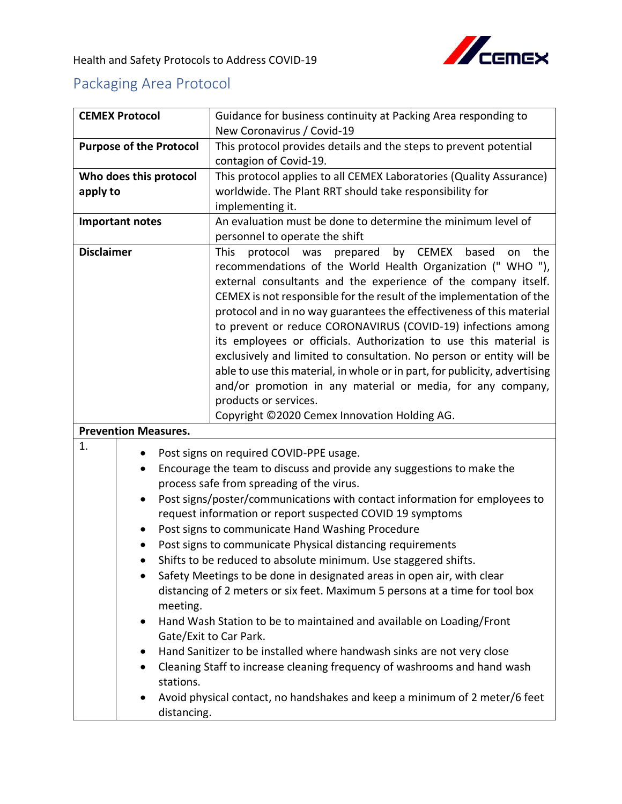

## Packaging Area Protocol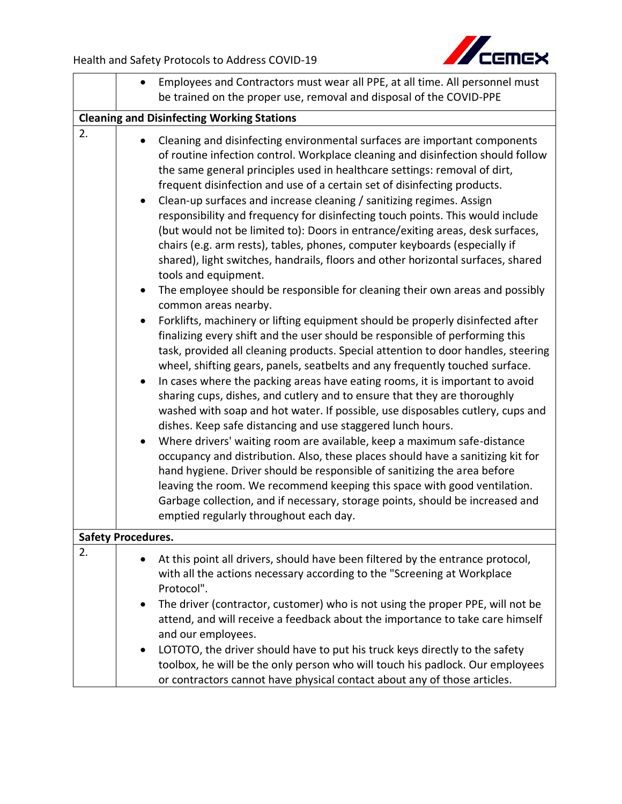

|    | Employees and Contractors must wear all PPE, at all time. All personnel must                                                                                                                                                                                                                                                                                                                                                                                                                                                                                                                                                                                                                                                                                                                                                                                                                                                                                                                                                                                                                                                                                                                                                                                                                                                                                                                                                                                                                                                                                                                                                                                                                                                                                                                                                                                                                                                                                                                       |  |  |  |
|----|----------------------------------------------------------------------------------------------------------------------------------------------------------------------------------------------------------------------------------------------------------------------------------------------------------------------------------------------------------------------------------------------------------------------------------------------------------------------------------------------------------------------------------------------------------------------------------------------------------------------------------------------------------------------------------------------------------------------------------------------------------------------------------------------------------------------------------------------------------------------------------------------------------------------------------------------------------------------------------------------------------------------------------------------------------------------------------------------------------------------------------------------------------------------------------------------------------------------------------------------------------------------------------------------------------------------------------------------------------------------------------------------------------------------------------------------------------------------------------------------------------------------------------------------------------------------------------------------------------------------------------------------------------------------------------------------------------------------------------------------------------------------------------------------------------------------------------------------------------------------------------------------------------------------------------------------------------------------------------------------------|--|--|--|
|    | be trained on the proper use, removal and disposal of the COVID-PPE                                                                                                                                                                                                                                                                                                                                                                                                                                                                                                                                                                                                                                                                                                                                                                                                                                                                                                                                                                                                                                                                                                                                                                                                                                                                                                                                                                                                                                                                                                                                                                                                                                                                                                                                                                                                                                                                                                                                |  |  |  |
|    | <b>Cleaning and Disinfecting Working Stations</b>                                                                                                                                                                                                                                                                                                                                                                                                                                                                                                                                                                                                                                                                                                                                                                                                                                                                                                                                                                                                                                                                                                                                                                                                                                                                                                                                                                                                                                                                                                                                                                                                                                                                                                                                                                                                                                                                                                                                                  |  |  |  |
| 2. | Cleaning and disinfecting environmental surfaces are important components<br>of routine infection control. Workplace cleaning and disinfection should follow<br>the same general principles used in healthcare settings: removal of dirt,<br>frequent disinfection and use of a certain set of disinfecting products.<br>Clean-up surfaces and increase cleaning / sanitizing regimes. Assign<br>responsibility and frequency for disinfecting touch points. This would include<br>(but would not be limited to): Doors in entrance/exiting areas, desk surfaces,<br>chairs (e.g. arm rests), tables, phones, computer keyboards (especially if<br>shared), light switches, handrails, floors and other horizontal surfaces, shared<br>tools and equipment.<br>The employee should be responsible for cleaning their own areas and possibly<br>$\bullet$<br>common areas nearby.<br>Forklifts, machinery or lifting equipment should be properly disinfected after<br>finalizing every shift and the user should be responsible of performing this<br>task, provided all cleaning products. Special attention to door handles, steering<br>wheel, shifting gears, panels, seatbelts and any frequently touched surface.<br>In cases where the packing areas have eating rooms, it is important to avoid<br>$\bullet$<br>sharing cups, dishes, and cutlery and to ensure that they are thoroughly<br>washed with soap and hot water. If possible, use disposables cutlery, cups and<br>dishes. Keep safe distancing and use staggered lunch hours.<br>Where drivers' waiting room are available, keep a maximum safe-distance<br>occupancy and distribution. Also, these places should have a sanitizing kit for<br>hand hygiene. Driver should be responsible of sanitizing the area before<br>leaving the room. We recommend keeping this space with good ventilation.<br>Garbage collection, and if necessary, storage points, should be increased and<br>emptied regularly throughout each day. |  |  |  |
|    | <b>Safety Procedures.</b>                                                                                                                                                                                                                                                                                                                                                                                                                                                                                                                                                                                                                                                                                                                                                                                                                                                                                                                                                                                                                                                                                                                                                                                                                                                                                                                                                                                                                                                                                                                                                                                                                                                                                                                                                                                                                                                                                                                                                                          |  |  |  |
| 2. | At this point all drivers, should have been filtered by the entrance protocol,<br>with all the actions necessary according to the "Screening at Workplace<br>Protocol".<br>The driver (contractor, customer) who is not using the proper PPE, will not be<br>$\bullet$<br>attend, and will receive a feedback about the importance to take care himself                                                                                                                                                                                                                                                                                                                                                                                                                                                                                                                                                                                                                                                                                                                                                                                                                                                                                                                                                                                                                                                                                                                                                                                                                                                                                                                                                                                                                                                                                                                                                                                                                                            |  |  |  |
|    | and our employees.<br>LOTOTO, the driver should have to put his truck keys directly to the safety<br>$\bullet$<br>toolbox, he will be the only person who will touch his padlock. Our employees<br>or contractors cannot have physical contact about any of those articles.                                                                                                                                                                                                                                                                                                                                                                                                                                                                                                                                                                                                                                                                                                                                                                                                                                                                                                                                                                                                                                                                                                                                                                                                                                                                                                                                                                                                                                                                                                                                                                                                                                                                                                                        |  |  |  |